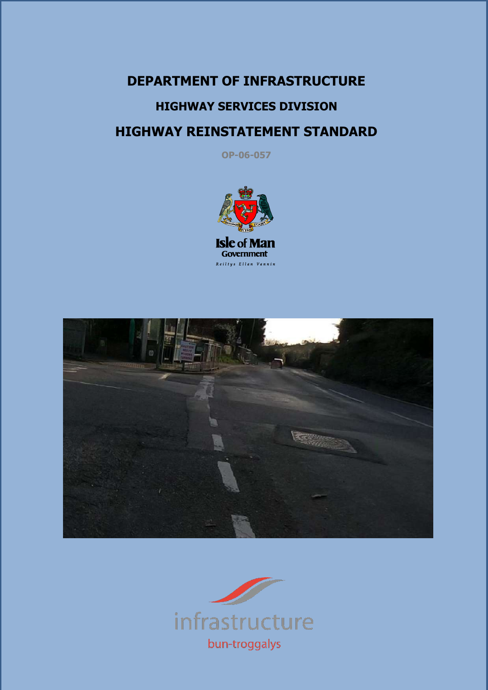# **DEPARTMENT OF INFRASTRUCTURE HIGHWAY SERVICES DIVISION HIGHWAY REINSTATEMENT STANDARD**

**OP-06-057**





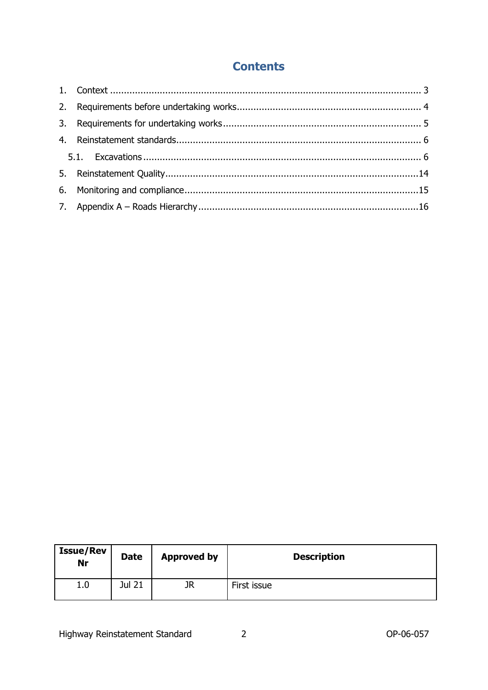# **Contents**

| <b>Issue/Rev</b><br>Nr | <b>Date</b> | <b>Approved by</b> | <b>Description</b> |
|------------------------|-------------|--------------------|--------------------|
| 1.0                    | Jul 21      | JR                 | First issue        |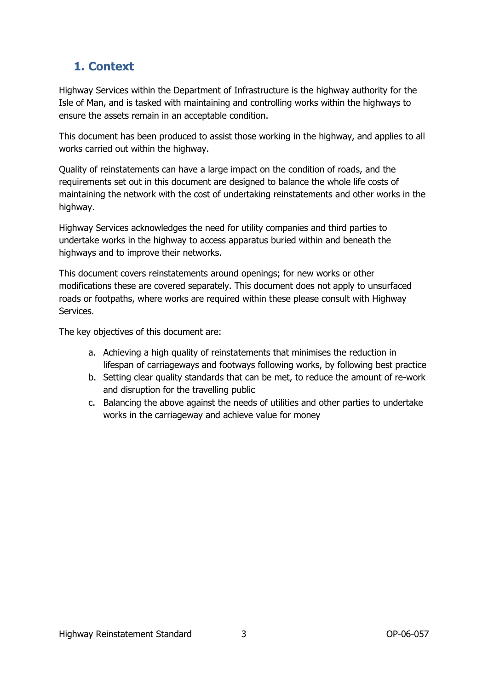### <span id="page-2-0"></span>**1. Context**

Highway Services within the Department of Infrastructure is the highway authority for the Isle of Man, and is tasked with maintaining and controlling works within the highways to ensure the assets remain in an acceptable condition.

This document has been produced to assist those working in the highway, and applies to all works carried out within the highway.

Quality of reinstatements can have a large impact on the condition of roads, and the requirements set out in this document are designed to balance the whole life costs of maintaining the network with the cost of undertaking reinstatements and other works in the highway.

Highway Services acknowledges the need for utility companies and third parties to undertake works in the highway to access apparatus buried within and beneath the highways and to improve their networks.

This document covers reinstatements around openings; for new works or other modifications these are covered separately. This document does not apply to unsurfaced roads or footpaths, where works are required within these please consult with Highway Services.

The key objectives of this document are:

- a. Achieving a high quality of reinstatements that minimises the reduction in lifespan of carriageways and footways following works, by following best practice
- b. Setting clear quality standards that can be met, to reduce the amount of re-work and disruption for the travelling public
- c. Balancing the above against the needs of utilities and other parties to undertake works in the carriageway and achieve value for money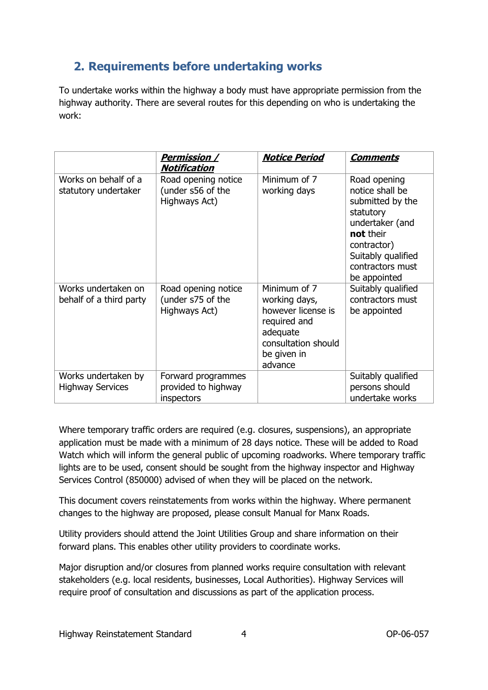### <span id="page-3-0"></span>**2. Requirements before undertaking works**

To undertake works within the highway a body must have appropriate permission from the highway authority. There are several routes for this depending on who is undertaking the work:

|                                                | <u>Permission /</u><br><b>Notification</b>                | <b>Notice Period</b>                                                                                                             | <b>Comments</b>                                                                                                                                                           |
|------------------------------------------------|-----------------------------------------------------------|----------------------------------------------------------------------------------------------------------------------------------|---------------------------------------------------------------------------------------------------------------------------------------------------------------------------|
| Works on behalf of a<br>statutory undertaker   | Road opening notice<br>(under s56 of the<br>Highways Act) | Minimum of 7<br>working days                                                                                                     | Road opening<br>notice shall be<br>submitted by the<br>statutory<br>undertaker (and<br>not their<br>contractor)<br>Suitably qualified<br>contractors must<br>be appointed |
| Works undertaken on<br>behalf of a third party | Road opening notice<br>(under s75 of the<br>Highways Act) | Minimum of 7<br>working days,<br>however license is<br>required and<br>adequate<br>consultation should<br>be given in<br>advance | Suitably qualified<br>contractors must<br>be appointed                                                                                                                    |
| Works undertaken by<br><b>Highway Services</b> | Forward programmes<br>provided to highway<br>inspectors   |                                                                                                                                  | Suitably qualified<br>persons should<br>undertake works                                                                                                                   |

Where temporary traffic orders are required (e.g. closures, suspensions), an appropriate application must be made with a minimum of 28 days notice. These will be added to Road Watch which will inform the general public of upcoming roadworks. Where temporary traffic lights are to be used, consent should be sought from the highway inspector and Highway Services Control (850000) advised of when they will be placed on the network.

This document covers reinstatements from works within the highway. Where permanent changes to the highway are proposed, please consult Manual for Manx Roads.

Utility providers should attend the Joint Utilities Group and share information on their forward plans. This enables other utility providers to coordinate works.

Major disruption and/or closures from planned works require consultation with relevant stakeholders (e.g. local residents, businesses, Local Authorities). Highway Services will require proof of consultation and discussions as part of the application process.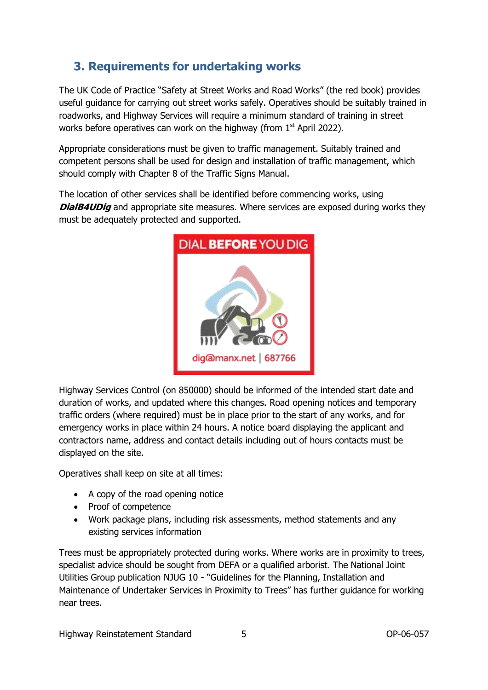# <span id="page-4-0"></span>**3. Requirements for undertaking works**

The UK Code of Practice "Safety at Street Works and Road Works" (the red book) provides useful guidance for carrying out street works safely. Operatives should be suitably trained in roadworks, and Highway Services will require a minimum standard of training in street works before operatives can work on the highway (from  $1<sup>st</sup>$  April 2022).

Appropriate considerations must be given to traffic management. Suitably trained and competent persons shall be used for design and installation of traffic management, which should comply with Chapter 8 of the Traffic Signs Manual.

The location of other services shall be identified before commencing works, using **DialB4UDig** and appropriate site measures. Where services are exposed during works they must be adequately protected and supported.



Highway Services Control (on 850000) should be informed of the intended start date and duration of works, and updated where this changes. Road opening notices and temporary traffic orders (where required) must be in place prior to the start of any works, and for emergency works in place within 24 hours. A notice board displaying the applicant and contractors name, address and contact details including out of hours contacts must be displayed on the site.

Operatives shall keep on site at all times:

- A copy of the road opening notice
- Proof of competence
- Work package plans, including risk assessments, method statements and any existing services information

Trees must be appropriately protected during works. Where works are in proximity to trees, specialist advice should be sought from DEFA or a qualified arborist. The National Joint Utilities Group publication NJUG 10 - "Guidelines for the Planning, Installation and Maintenance of Undertaker Services in Proximity to Trees" has further guidance for working near trees.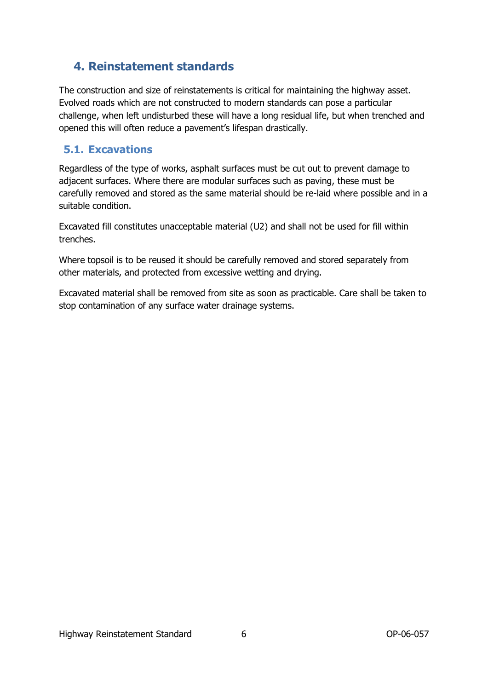### <span id="page-5-0"></span>**4. Reinstatement standards**

The construction and size of reinstatements is critical for maintaining the highway asset. Evolved roads which are not constructed to modern standards can pose a particular challenge, when left undisturbed these will have a long residual life, but when trenched and opened this will often reduce a pavement's lifespan drastically.

#### <span id="page-5-1"></span>**5.1. Excavations**

Regardless of the type of works, asphalt surfaces must be cut out to prevent damage to adjacent surfaces. Where there are modular surfaces such as paving, these must be carefully removed and stored as the same material should be re-laid where possible and in a suitable condition.

Excavated fill constitutes unacceptable material (U2) and shall not be used for fill within trenches.

Where topsoil is to be reused it should be carefully removed and stored separately from other materials, and protected from excessive wetting and drying.

Excavated material shall be removed from site as soon as practicable. Care shall be taken to stop contamination of any surface water drainage systems.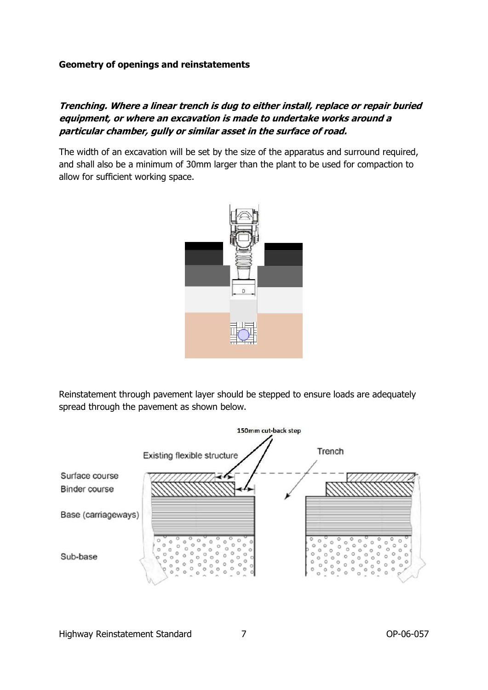#### **Geometry of openings and reinstatements**

#### **Trenching. Where a linear trench is dug to either install, replace or repair buried equipment, or where an excavation is made to undertake works around a particular chamber, gully or similar asset in the surface of road.**

The width of an excavation will be set by the size of the apparatus and surround required, and shall also be a minimum of 30mm larger than the plant to be used for compaction to allow for sufficient working space.



Reinstatement through pavement layer should be stepped to ensure loads are adequately spread through the pavement as shown below.

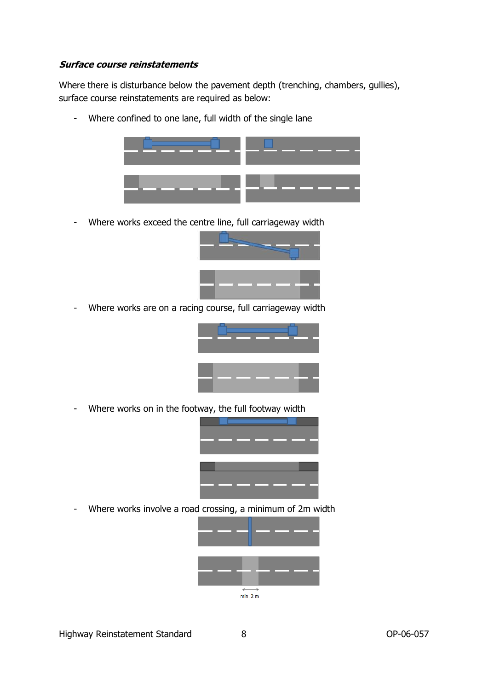#### **Surface course reinstatements**

Where there is disturbance below the pavement depth (trenching, chambers, gullies), surface course reinstatements are required as below:

- Where confined to one lane, full width of the single lane



- Where works exceed the centre line, full carriageway width



- Where works are on a racing course, full carriageway width



- Where works on in the footway, the full footway width



- Where works involve a road crossing, a minimum of 2m width

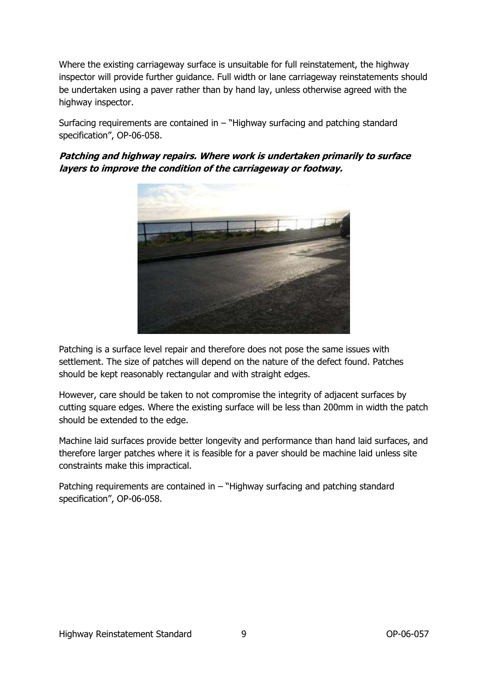Where the existing carriageway surface is unsuitable for full reinstatement, the highway inspector will provide further guidance. Full width or lane carriageway reinstatements should be undertaken using a paver rather than by hand lay, unless otherwise agreed with the highway inspector.

Surfacing requirements are contained in  $-$  "Highway surfacing and patching standard specification", OP-06-058.

**Patching and highway repairs. Where work is undertaken primarily to surface layers to improve the condition of the carriageway or footway.**



Patching is a surface level repair and therefore does not pose the same issues with settlement. The size of patches will depend on the nature of the defect found. Patches should be kept reasonably rectangular and with straight edges.

However, care should be taken to not compromise the integrity of adjacent surfaces by cutting square edges. Where the existing surface will be less than 200mm in width the patch should be extended to the edge.

Machine laid surfaces provide better longevity and performance than hand laid surfaces, and therefore larger patches where it is feasible for a paver should be machine laid unless site constraints make this impractical.

Patching requirements are contained in – "Highway surfacing and patching standard specification", OP-06-058.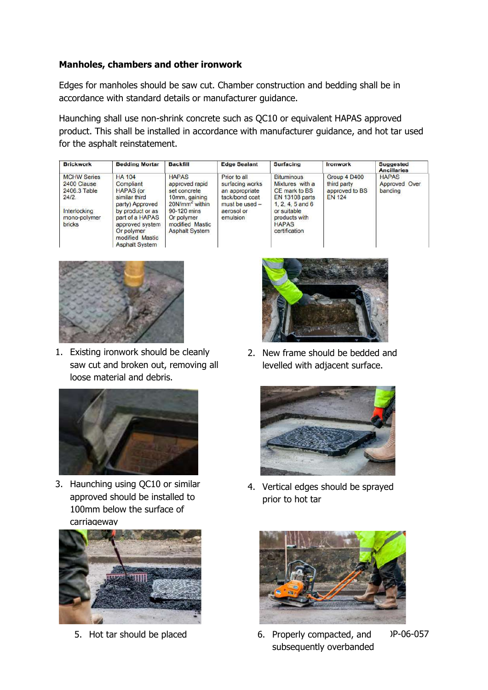#### **Manholes, chambers and other ironwork**

Edges for manholes should be saw cut. Chamber construction and bedding shall be in accordance with standard details or manufacturer guidance.

Haunching shall use non-shrink concrete such as QC10 or equivalent HAPAS approved product. This shall be installed in accordance with manufacturer guidance, and hot tar used for the asphalt reinstatement.

| <b>Brickwork</b>                                           | <b>Bedding Mortar</b>                                                                                            | <b>Backfill</b>                                                                               | <b>Edge Sealant</b>                                                                   | <b>Surfacing</b>                                                                                     | <b>Ironwork</b>                                                | <b>Suggested</b><br><b>Ancillaries</b>   |
|------------------------------------------------------------|------------------------------------------------------------------------------------------------------------------|-----------------------------------------------------------------------------------------------|---------------------------------------------------------------------------------------|------------------------------------------------------------------------------------------------------|----------------------------------------------------------------|------------------------------------------|
| <b>MCHW Series</b><br>2400 Clause<br>2406.3 Table<br>24/2. | <b>HA 104</b><br>Compliant<br><b>HAPAS</b> (or<br>similar third<br>party) Approved                               | <b>HAPAS</b><br>approved rapid<br>set concrete<br>10mm, gaining<br>20N/mm <sup>2</sup> within | Prior to all<br>surfacing works<br>an appropriate<br>tack/bond coat<br>must be used - | <b>Bituminous</b><br>Mixtures with a<br>CE mark to BS<br><b>EN 13108 parts</b><br>$1, 2, 4, 5$ and 6 | Group 4 D400<br>third party<br>approved to BS<br><b>EN 124</b> | <b>HAPAS</b><br>Approved Over<br>banding |
| Interlocking<br>mono-polymer<br><b>bricks</b>              | by product or as<br>part of a HAPAS<br>approved system<br>Or polymer<br>modified Mastic<br><b>Asphalt System</b> | 90-120 mins<br>Or polymer<br>modified Mastic<br><b>Asphalt System</b>                         | aerosol or<br>emulsion                                                                | or suitable<br>products with<br><b>HAPAS</b><br>certification                                        |                                                                |                                          |



1. Existing ironwork should be cleanly saw cut and broken out, removing all loose material and debris.



3. Haunching using QC10 or similar approved should be installed to 100mm below the surface of carriageway





2. New frame should be bedded and levelled with adjacent surface.



4. Vertical edges should be sprayed prior to hot tar



5. Hot tar should be placed 6. Properly compacted, and P-06-057 subsequently overbanded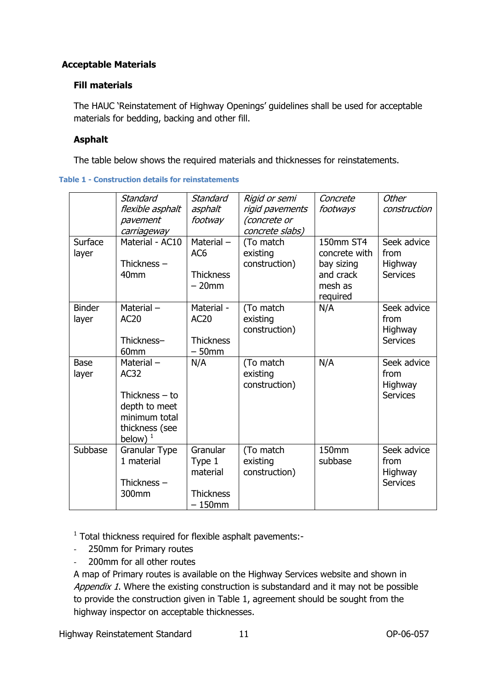#### **Acceptable Materials**

#### **Fill materials**

The HAUC 'Reinstatement of Highway Openings' guidelines shall be used for acceptable materials for bedding, backing and other fill.

#### **Asphalt**

The table below shows the required materials and thicknesses for reinstatements.

<span id="page-10-0"></span>**Table 1 - Construction details for reinstatements**

|                        | Standard<br>flexible asphalt<br>pavement<br>carriageway                                                 | Standard<br>asphalt<br>footway                                  | Rigid or semi<br>rigid pavements<br>(concrete or<br>concrete slabs) | Concrete<br>footways                                                         | <b>Other</b><br>construction                      |
|------------------------|---------------------------------------------------------------------------------------------------------|-----------------------------------------------------------------|---------------------------------------------------------------------|------------------------------------------------------------------------------|---------------------------------------------------|
| Surface<br>layer       | Material - AC10<br>Thickness $-$<br>40 <sub>mm</sub>                                                    | Material $-$<br>AC <sub>6</sub><br><b>Thickness</b><br>$-20$ mm | (To match<br>existing<br>construction)                              | 150mm ST4<br>concrete with<br>bay sizing<br>and crack<br>mesh as<br>required | Seek advice<br>from<br>Highway<br><b>Services</b> |
| <b>Binder</b><br>layer | Material $-$<br><b>AC20</b><br>Thickness-<br>60mm                                                       | Material -<br><b>AC20</b><br><b>Thickness</b><br>$-50$ mm       | (To match<br>existing<br>construction)                              | N/A                                                                          | Seek advice<br>from<br>Highway<br><b>Services</b> |
| <b>Base</b><br>layer   | Material-<br>AC32<br>Thickness $-$ to<br>depth to meet<br>minimum total<br>thickness (see<br>below) $1$ | N/A                                                             | (To match<br>existing<br>construction)                              | N/A                                                                          | Seek advice<br>from<br>Highway<br><b>Services</b> |
| Subbase                | Granular Type<br>1 material<br>Thickness $-$<br>300mm                                                   | Granular<br>Type 1<br>material<br><b>Thickness</b><br>$-150$ mm | (To match<br>existing<br>construction)                              | 150mm<br>subbase                                                             | Seek advice<br>from<br>Highway<br><b>Services</b> |

<sup>1</sup> Total thickness required for flexible asphalt pavements:-

- 250mm for Primary routes
- 200mm for all other routes

A map of Primary routes is available on the Highway Services website and shown in Appendix 1. Where the existing construction is substandard and it may not be possible to provide the construction given in [Table 1,](#page-10-0) agreement should be sought from the highway inspector on acceptable thicknesses.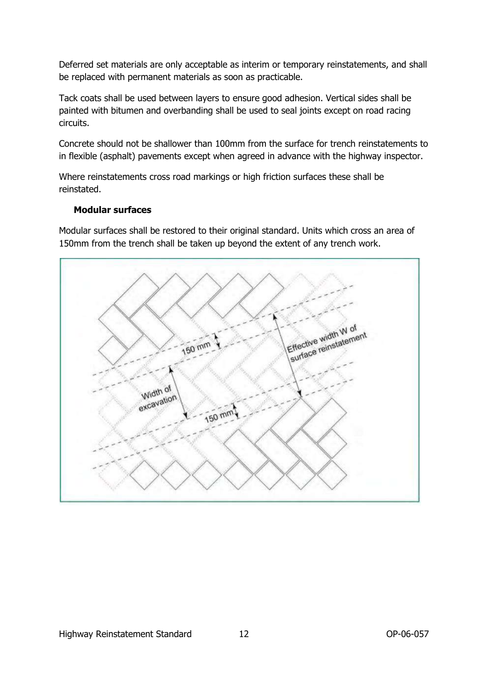Deferred set materials are only acceptable as interim or temporary reinstatements, and shall be replaced with permanent materials as soon as practicable.

Tack coats shall be used between layers to ensure good adhesion. Vertical sides shall be painted with bitumen and overbanding shall be used to seal joints except on road racing circuits.

Concrete should not be shallower than 100mm from the surface for trench reinstatements to in flexible (asphalt) pavements except when agreed in advance with the highway inspector.

Where reinstatements cross road markings or high friction surfaces these shall be reinstated.

#### **Modular surfaces**

Modular surfaces shall be restored to their original standard. Units which cross an area of 150mm from the trench shall be taken up beyond the extent of any trench work.

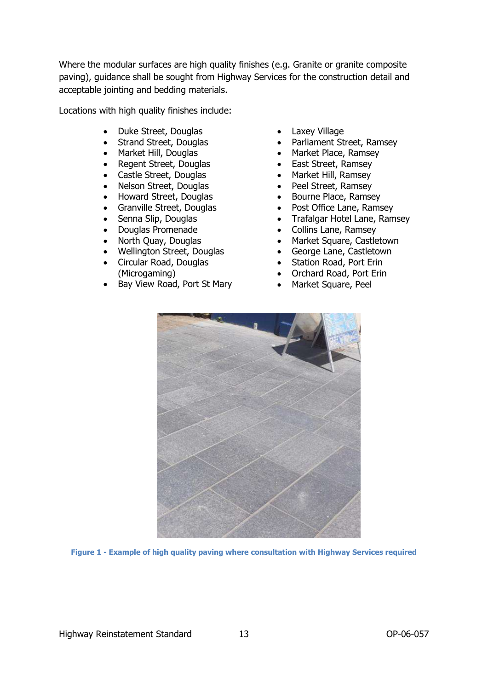Where the modular surfaces are high quality finishes (e.g. Granite or granite composite paving), guidance shall be sought from Highway Services for the construction detail and acceptable jointing and bedding materials.

Locations with high quality finishes include:

- Duke Street, Douglas
- Strand Street, Douglas
- Market Hill, Douglas
- Regent Street, Douglas
- Castle Street, Douglas
- Nelson Street, Douglas
- Howard Street, Douglas
- Granville Street, Douglas
- Senna Slip, Douglas
- Douglas Promenade
- North Quay, Douglas
- Wellington Street, Douglas
- Circular Road, Douglas (Microgaming)
- Bay View Road, Port St Mary
- Laxey Village
- Parliament Street, Ramsey
- Market Place, Ramsey
- East Street, Ramsey
- Market Hill, Ramsey
- Peel Street, Ramsey
- Bourne Place, Ramsey
- Post Office Lane, Ramsey
- Trafalgar Hotel Lane, Ramsey
- Collins Lane, Ramsey
- Market Square, Castletown
- George Lane, Castletown
- Station Road, Port Erin
- Orchard Road, Port Erin
- Market Square, Peel



**Figure 1 - Example of high quality paving where consultation with Highway Services required**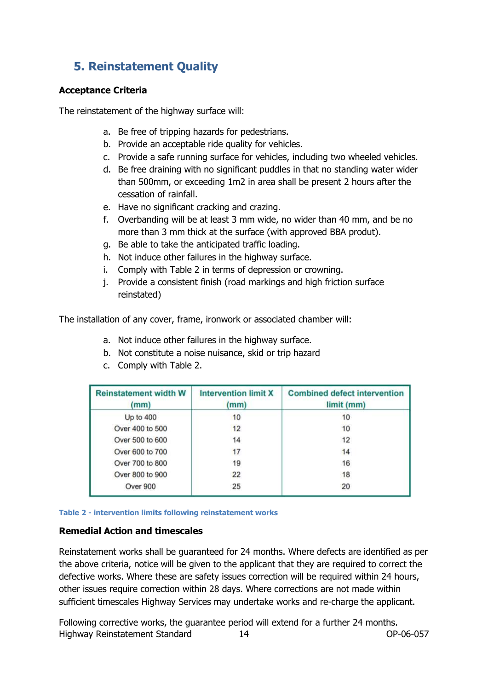## <span id="page-13-0"></span>**5. Reinstatement Quality**

#### **Acceptance Criteria**

The reinstatement of the highway surface will:

- a. Be free of tripping hazards for pedestrians.
- b. Provide an acceptable ride quality for vehicles.
- c. Provide a safe running surface for vehicles, including two wheeled vehicles.
- d. Be free draining with no significant puddles in that no standing water wider than 500mm, or exceeding 1m2 in area shall be present 2 hours after the cessation of rainfall.
- e. Have no significant cracking and crazing.
- f. Overbanding will be at least 3 mm wide, no wider than 40 mm, and be no more than 3 mm thick at the surface (with approved BBA produt).
- g. Be able to take the anticipated traffic loading.
- h. Not induce other failures in the highway surface.
- i. Comply with [Table 2](#page-13-1) in terms of depression or crowning.
- j. Provide a consistent finish (road markings and high friction surface reinstated)

The installation of any cover, frame, ironwork or associated chamber will:

- a. Not induce other failures in the highway surface.
- b. Not constitute a noise nuisance, skid or trip hazard
- c. Comply with [Table 2.](#page-13-1)

| <b>Reinstatement width W</b><br>(mm) | <b>Intervention limit X</b><br>(mm) | <b>Combined defect intervention</b><br>limit (mm) |
|--------------------------------------|-------------------------------------|---------------------------------------------------|
| Up to $400$                          | 10                                  | 10                                                |
| Over 400 to 500                      | 12                                  | 10                                                |
| Over 500 to 600                      | 14                                  | 12                                                |
| Over 600 to 700                      | 17                                  | 14                                                |
| Over 700 to 800                      | 19                                  | 16                                                |
| Over 800 to 900                      | 22                                  | 18                                                |
| Over 900                             | 25                                  | 20                                                |

<span id="page-13-1"></span>**Table 2 - intervention limits following reinstatement works**

#### **Remedial Action and timescales**

Reinstatement works shall be guaranteed for 24 months. Where defects are identified as per the above criteria, notice will be given to the applicant that they are required to correct the defective works. Where these are safety issues correction will be required within 24 hours, other issues require correction within 28 days. Where corrections are not made within sufficient timescales Highway Services may undertake works and re-charge the applicant.

Highway Reinstatement Standard 14 OP-06-057 Following corrective works, the guarantee period will extend for a further 24 months.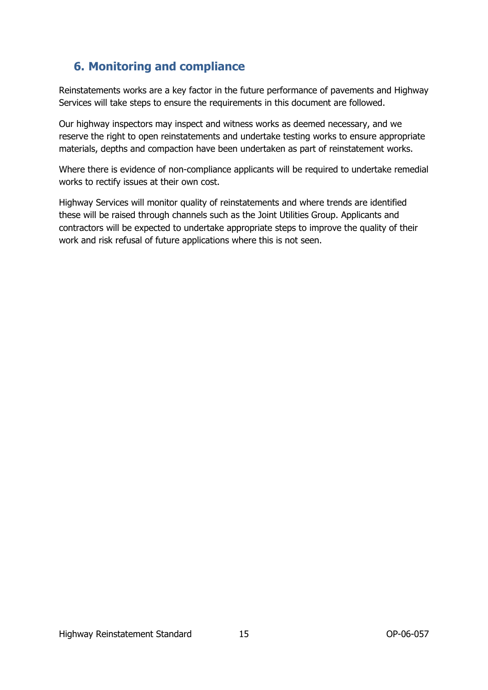### <span id="page-14-0"></span>**6. Monitoring and compliance**

Reinstatements works are a key factor in the future performance of pavements and Highway Services will take steps to ensure the requirements in this document are followed.

Our highway inspectors may inspect and witness works as deemed necessary, and we reserve the right to open reinstatements and undertake testing works to ensure appropriate materials, depths and compaction have been undertaken as part of reinstatement works.

Where there is evidence of non-compliance applicants will be required to undertake remedial works to rectify issues at their own cost.

Highway Services will monitor quality of reinstatements and where trends are identified these will be raised through channels such as the Joint Utilities Group. Applicants and contractors will be expected to undertake appropriate steps to improve the quality of their work and risk refusal of future applications where this is not seen.